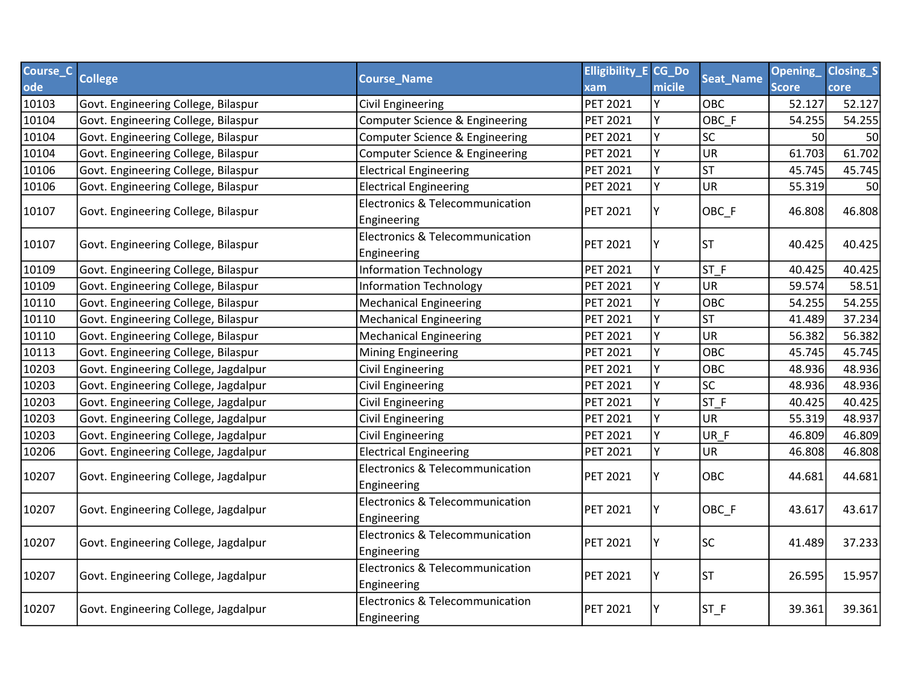| Course_C | <b>College</b>                       |                                                           | <b>Elligibility_E CG_Do</b> |        |                        | <b>Opening</b> | <b>Closing_S</b> |
|----------|--------------------------------------|-----------------------------------------------------------|-----------------------------|--------|------------------------|----------------|------------------|
| ode      |                                      | <b>Course_Name</b>                                        | xam                         | micile | <b>Seat_Name</b>       | <b>Score</b>   | core             |
| 10103    | Govt. Engineering College, Bilaspur  | <b>Civil Engineering</b>                                  | PET 2021                    | Y      | OBC                    | 52.127         | 52.127           |
| 10104    | Govt. Engineering College, Bilaspur  | Computer Science & Engineering                            | <b>PET 2021</b>             | Υ      | OBC F                  | 54.255         | 54.255           |
| 10104    | Govt. Engineering College, Bilaspur  | Computer Science & Engineering                            | PET 2021                    | Y      | <b>SC</b>              | <b>50</b>      | 50               |
| 10104    | Govt. Engineering College, Bilaspur  | Computer Science & Engineering                            | PET 2021                    | Y      | <b>UR</b>              | 61.703         | 61.702           |
| 10106    | Govt. Engineering College, Bilaspur  | <b>Electrical Engineering</b>                             | PET 2021                    | Υ      | <b>ST</b>              | 45.745         | 45.745           |
| 10106    | Govt. Engineering College, Bilaspur  | <b>Electrical Engineering</b>                             | PET 2021                    | Y      | UR                     | 55.319         | 50               |
| 10107    | Govt. Engineering College, Bilaspur  | Electronics & Telecommunication<br>Engineering            | <b>PET 2021</b>             | Y      | OBC_F                  | 46.808         | 46.808           |
| 10107    | Govt. Engineering College, Bilaspur  | Electronics & Telecommunication<br>Engineering            | PET 2021                    | Y      | <b>ST</b>              | 40.425         | 40.425           |
| 10109    | Govt. Engineering College, Bilaspur  | <b>Information Technology</b>                             | PET 2021                    | Y      | $ST_F$                 | 40.425         | 40.425           |
| 10109    | Govt. Engineering College, Bilaspur  | <b>Information Technology</b>                             | PET 2021                    | Υ      | <b>UR</b>              | 59.574         | 58.51            |
| 10110    | Govt. Engineering College, Bilaspur  | <b>Mechanical Engineering</b>                             | PET 2021                    | Y      | OBC                    | 54.255         | 54.255           |
| 10110    | Govt. Engineering College, Bilaspur  | <b>Mechanical Engineering</b>                             | PET 2021                    | Υ      | <b>ST</b>              | 41.489         | 37.234           |
| 10110    | Govt. Engineering College, Bilaspur  | <b>Mechanical Engineering</b>                             | PET 2021                    | Y      | <b>UR</b>              | 56.382         | 56.382           |
| 10113    | Govt. Engineering College, Bilaspur  | <b>Mining Engineering</b>                                 | PET 2021                    | Y      | OBC                    | 45.745         | 45.745           |
| 10203    | Govt. Engineering College, Jagdalpur | <b>Civil Engineering</b>                                  | PET 2021                    | Y      | <b>OBC</b>             | 48.936         | 48.936           |
| 10203    | Govt. Engineering College, Jagdalpur | <b>Civil Engineering</b>                                  | <b>PET 2021</b>             | Y      | $\overline{\text{SC}}$ | 48.936         | 48.936           |
| 10203    | Govt. Engineering College, Jagdalpur | <b>Civil Engineering</b>                                  | PET 2021                    | Y      | ST F                   | 40.425         | 40.425           |
| 10203    | Govt. Engineering College, Jagdalpur | <b>Civil Engineering</b>                                  | PET 2021                    | Y      | <b>UR</b>              | 55.319         | 48.937           |
| 10203    | Govt. Engineering College, Jagdalpur | <b>Civil Engineering</b>                                  | PET 2021                    | Y      | UR_F                   | 46.809         | 46.809           |
| 10206    | Govt. Engineering College, Jagdalpur | <b>Electrical Engineering</b>                             | PET 2021                    | Y      | <b>UR</b>              | 46.808         | 46.808           |
| 10207    | Govt. Engineering College, Jagdalpur | <b>Electronics &amp; Telecommunication</b><br>Engineering | PET 2021                    | Υ      | OBC                    | 44.681         | 44.681           |
| 10207    | Govt. Engineering College, Jagdalpur | Electronics & Telecommunication<br>Engineering            | <b>PET 2021</b>             | Y      | OBC_F                  | 43.617         | 43.617           |
| 10207    | Govt. Engineering College, Jagdalpur | Electronics & Telecommunication<br>Engineering            | <b>PET 2021</b>             | Υ      | <b>SC</b>              | 41.489         | 37.233           |
| 10207    | Govt. Engineering College, Jagdalpur | Electronics & Telecommunication<br>Engineering            | PET 2021                    | Y      | <b>ST</b>              | 26.595         | 15.957           |
| 10207    | Govt. Engineering College, Jagdalpur | Electronics & Telecommunication<br>Engineering            | PET 2021                    | Y      | $ST_F$                 | 39.361         | 39.361           |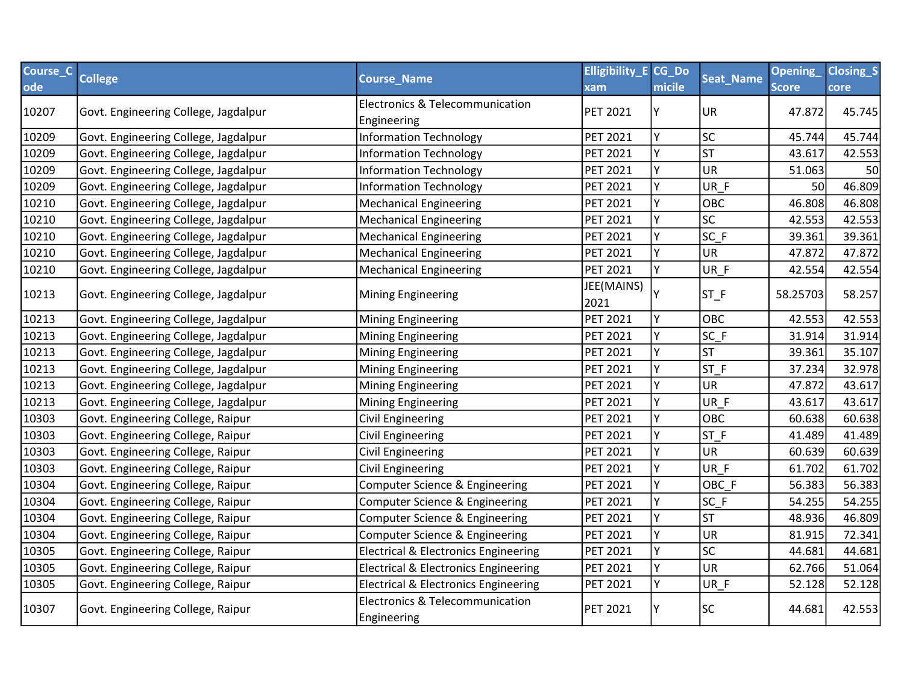| Course_C | <b>College</b>                       | <b>Course_Name</b>                              | <b>Elligibility_E CG_Do</b> |        | <b>Seat_Name</b>       | <b>Opening</b> | <b>Closing_S</b> |
|----------|--------------------------------------|-------------------------------------------------|-----------------------------|--------|------------------------|----------------|------------------|
| ode      |                                      |                                                 | xam                         | micile |                        | <b>Score</b>   | core             |
| 10207    | Govt. Engineering College, Jagdalpur | Electronics & Telecommunication                 | <b>PET 2021</b>             | Y      | UR                     | 47.872         | 45.745           |
|          |                                      | Engineering                                     |                             |        |                        |                |                  |
| 10209    | Govt. Engineering College, Jagdalpur | <b>Information Technology</b>                   | PET 2021                    | Y      | SC                     | 45.744         | 45.744           |
| 10209    | Govt. Engineering College, Jagdalpur | <b>Information Technology</b>                   | <b>PET 2021</b>             | Y      | <b>ST</b>              | 43.617         | 42.553           |
| 10209    | Govt. Engineering College, Jagdalpur | <b>Information Technology</b>                   | PET 2021                    | Υ      | UR                     | 51.063         | 50               |
| 10209    | Govt. Engineering College, Jagdalpur | <b>Information Technology</b>                   | PET 2021                    |        | UR F                   | 50             | 46.809           |
| 10210    | Govt. Engineering College, Jagdalpur | <b>Mechanical Engineering</b>                   | <b>PET 2021</b>             | Υ      | <b>OBC</b>             | 46.808         | 46.808           |
| 10210    | Govt. Engineering College, Jagdalpur | <b>Mechanical Engineering</b>                   | <b>PET 2021</b>             | Y      | <b>SC</b>              | 42.553         | 42.553           |
| 10210    | Govt. Engineering College, Jagdalpur | <b>Mechanical Engineering</b>                   | <b>PET 2021</b>             | Υ      | $SC_F$                 | 39.361         | 39.361           |
| 10210    | Govt. Engineering College, Jagdalpur | <b>Mechanical Engineering</b>                   | <b>PET 2021</b>             | Υ      | <b>UR</b>              | 47.872         | 47.872           |
| 10210    | Govt. Engineering College, Jagdalpur | <b>Mechanical Engineering</b>                   | PET 2021                    | Y      | UR_F                   | 42.554         | 42.554           |
| 10213    | Govt. Engineering College, Jagdalpur | <b>Mining Engineering</b>                       | JEE(MAINS)<br>2021          |        | $ST_F$                 | 58.25703       | 58.257           |
| 10213    | Govt. Engineering College, Jagdalpur | <b>Mining Engineering</b>                       | PET 2021                    | Y      | <b>OBC</b>             | 42.553         | 42.553           |
| 10213    | Govt. Engineering College, Jagdalpur | <b>Mining Engineering</b>                       | <b>PET 2021</b>             |        | $SC_F$                 | 31.914         | 31.914           |
| 10213    | Govt. Engineering College, Jagdalpur | <b>Mining Engineering</b>                       | PET 2021                    | Y      | <b>ST</b>              | 39.361         | 35.107           |
| 10213    | Govt. Engineering College, Jagdalpur | <b>Mining Engineering</b>                       | <b>PET 2021</b>             | Y      | ST F                   | 37.234         | 32.978           |
| 10213    | Govt. Engineering College, Jagdalpur | <b>Mining Engineering</b>                       | <b>PET 2021</b>             | Y      | UR                     | 47.872         | 43.617           |
| 10213    | Govt. Engineering College, Jagdalpur | <b>Mining Engineering</b>                       | PET 2021                    | Y      | UR F                   | 43.617         | 43.617           |
| 10303    | Govt. Engineering College, Raipur    | <b>Civil Engineering</b>                        | <b>PET 2021</b>             | Y      | <b>OBC</b>             | 60.638         | 60.638           |
| 10303    | Govt. Engineering College, Raipur    | <b>Civil Engineering</b>                        | <b>PET 2021</b>             | Υ      | $ST_F$                 | 41.489         | 41.489           |
| 10303    | Govt. Engineering College, Raipur    | Civil Engineering                               | <b>PET 2021</b>             | Y      | <b>UR</b>              | 60.639         | 60.639           |
| 10303    | Govt. Engineering College, Raipur    | <b>Civil Engineering</b>                        | <b>PET 2021</b>             | Y      | UR F                   | 61.702         | 61.702           |
| 10304    | Govt. Engineering College, Raipur    | Computer Science & Engineering                  | PET 2021                    | Y      | OBC F                  | 56.383         | 56.383           |
| 10304    | Govt. Engineering College, Raipur    | Computer Science & Engineering                  | <b>PET 2021</b>             | Υ      | $SC_F$                 | 54.255         | 54.255           |
| 10304    | Govt. Engineering College, Raipur    | Computer Science & Engineering                  | PET 2021                    | Υ      | ST                     | 48.936         | 46.809           |
| 10304    | Govt. Engineering College, Raipur    | Computer Science & Engineering                  | PET 2021                    | γ      | <b>UR</b>              | 81.915         | 72.341           |
| 10305    | Govt. Engineering College, Raipur    | <b>Electrical &amp; Electronics Engineering</b> | <b>PET 2021</b>             | Y      | $\overline{\text{sc}}$ | 44.681         | 44.681           |
| 10305    | Govt. Engineering College, Raipur    | <b>Electrical &amp; Electronics Engineering</b> | PET 2021                    | Y      | UR                     | 62.766         | 51.064           |
| 10305    | Govt. Engineering College, Raipur    | <b>Electrical &amp; Electronics Engineering</b> | PET 2021                    | Υ      | UR_F                   | 52.128         | 52.128           |
| 10307    | Govt. Engineering College, Raipur    | Electronics & Telecommunication<br>Engineering  | <b>PET 2021</b>             |        | lsc                    | 44.681         | 42.553           |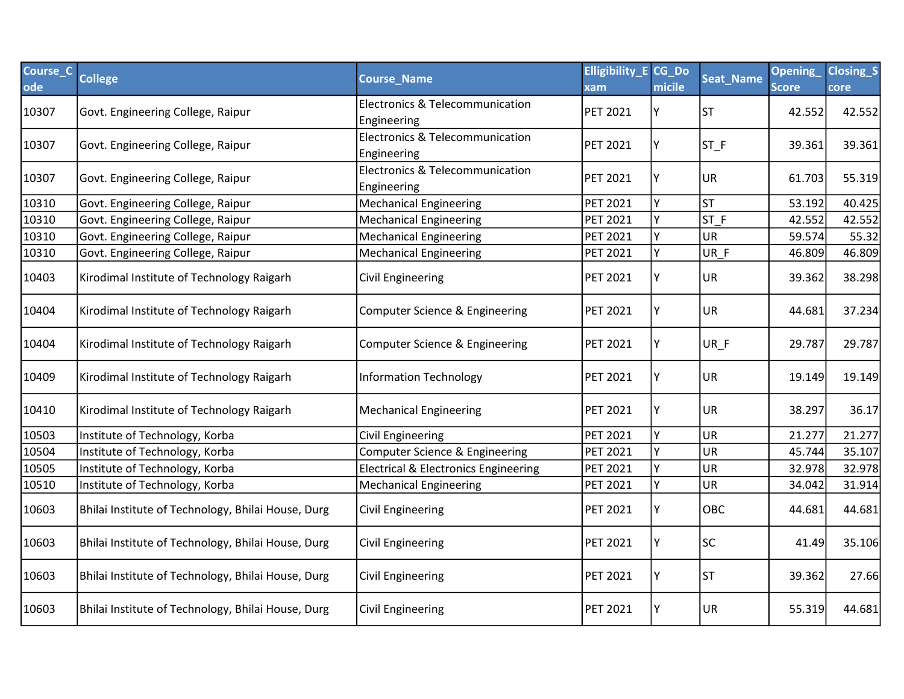| Course_C<br>ode | <b>College</b>                                     | <b>Course_Name</b>                              | <b>Elligibility_E CG_Do</b><br>xam | micile | Seat_Name | Opening<br><b>Score</b> | Closing_S<br>core |
|-----------------|----------------------------------------------------|-------------------------------------------------|------------------------------------|--------|-----------|-------------------------|-------------------|
| 10307           | Govt. Engineering College, Raipur                  | Electronics & Telecommunication<br>Engineering  | <b>PET 2021</b>                    | Υ      | <b>ST</b> | 42.552                  | 42.552            |
| 10307           | Govt. Engineering College, Raipur                  | Electronics & Telecommunication<br>Engineering  | <b>PET 2021</b>                    | Υ      | $ST_F$    | 39.361                  | 39.361            |
| 10307           | Govt. Engineering College, Raipur                  | Electronics & Telecommunication<br>Engineering  | <b>PET 2021</b>                    |        | <b>UR</b> | 61.703                  | 55.319            |
| 10310           | Govt. Engineering College, Raipur                  | <b>Mechanical Engineering</b>                   | <b>PET 2021</b>                    | Υ      | <b>ST</b> | 53.192                  | 40.425            |
| 10310           | Govt. Engineering College, Raipur                  | <b>Mechanical Engineering</b>                   | <b>PET 2021</b>                    | Y      | ST F      | 42.552                  | 42.552            |
| 10310           | Govt. Engineering College, Raipur                  | <b>Mechanical Engineering</b>                   | <b>PET 2021</b>                    | Y      | <b>UR</b> | 59.574                  | 55.32             |
| 10310           | Govt. Engineering College, Raipur                  | <b>Mechanical Engineering</b>                   | <b>PET 2021</b>                    | Y      | UR F      | 46.809                  | 46.809            |
| 10403           | Kirodimal Institute of Technology Raigarh          | <b>Civil Engineering</b>                        | <b>PET 2021</b>                    | Υ      | <b>UR</b> | 39.362                  | 38.298            |
| 10404           | Kirodimal Institute of Technology Raigarh          | Computer Science & Engineering                  | <b>PET 2021</b>                    | Υ      | <b>UR</b> | 44.681                  | 37.234            |
| 10404           | Kirodimal Institute of Technology Raigarh          | Computer Science & Engineering                  | <b>PET 2021</b>                    | Υ      | UR_F      | 29.787                  | 29.787            |
| 10409           | Kirodimal Institute of Technology Raigarh          | <b>Information Technology</b>                   | <b>PET 2021</b>                    | Υ      | <b>UR</b> | 19.149                  | 19.149            |
| 10410           | Kirodimal Institute of Technology Raigarh          | <b>Mechanical Engineering</b>                   | <b>PET 2021</b>                    | Y      | <b>UR</b> | 38.297                  | 36.17             |
| 10503           | Institute of Technology, Korba                     | <b>Civil Engineering</b>                        | <b>PET 2021</b>                    | Υ      | UR        | 21.277                  | 21.277            |
| 10504           | Institute of Technology, Korba                     | Computer Science & Engineering                  | <b>PET 2021</b>                    | Y      | UR        | 45.744                  | 35.107            |
| 10505           | Institute of Technology, Korba                     | <b>Electrical &amp; Electronics Engineering</b> | <b>PET 2021</b>                    |        | UR        | 32.978                  | 32.978            |
| 10510           | Institute of Technology, Korba                     | <b>Mechanical Engineering</b>                   | <b>PET 2021</b>                    | Y      | UR        | 34.042                  | 31.914            |
| 10603           | Bhilai Institute of Technology, Bhilai House, Durg | Civil Engineering                               | <b>PET 2021</b>                    | Y      | OBC       | 44.681                  | 44.681            |
| 10603           | Bhilai Institute of Technology, Bhilai House, Durg | Civil Engineering                               | <b>PET 2021</b>                    | Y      | <b>SC</b> | 41.49                   | 35.106            |
| 10603           | Bhilai Institute of Technology, Bhilai House, Durg | <b>Civil Engineering</b>                        | PET 2021                           | Y      | <b>ST</b> | 39.362                  | 27.66             |
| 10603           | Bhilai Institute of Technology, Bhilai House, Durg | Civil Engineering                               | <b>PET 2021</b>                    | Y      | UR        | 55.319                  | 44.681            |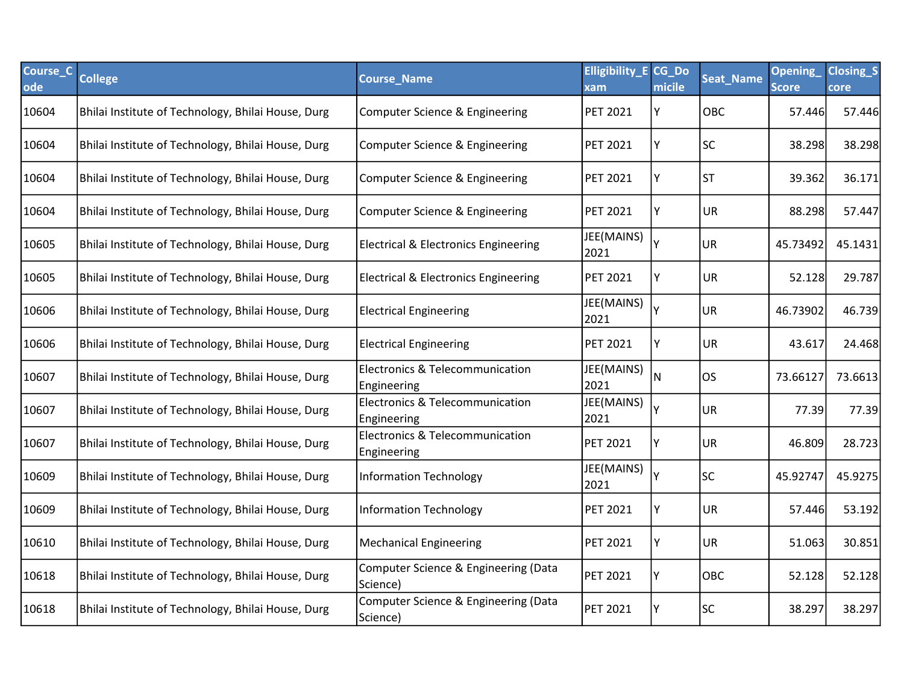| Course_C<br>ode | <b>College</b>                                     | <b>Course Name</b>                               | <b>Elligibility E CG Do</b><br>xam | micile | <b>Seat_Name</b> | Opening<br><b>Score</b> | <b>Closing_S</b><br>core |
|-----------------|----------------------------------------------------|--------------------------------------------------|------------------------------------|--------|------------------|-------------------------|--------------------------|
| 10604           | Bhilai Institute of Technology, Bhilai House, Durg | Computer Science & Engineering                   | <b>PET 2021</b>                    | Y      | <b>OBC</b>       | 57.446                  | 57.446                   |
| 10604           | Bhilai Institute of Technology, Bhilai House, Durg | Computer Science & Engineering                   | <b>PET 2021</b>                    | Y      | <b>SC</b>        | 38.298                  | 38.298                   |
| 10604           | Bhilai Institute of Technology, Bhilai House, Durg | Computer Science & Engineering                   | <b>PET 2021</b>                    | Υ      | lst              | 39.362                  | 36.171                   |
| 10604           | Bhilai Institute of Technology, Bhilai House, Durg | Computer Science & Engineering                   | <b>PET 2021</b>                    | Y      | <b>UR</b>        | 88.298                  | 57.447                   |
| 10605           | Bhilai Institute of Technology, Bhilai House, Durg | <b>Electrical &amp; Electronics Engineering</b>  | JEE(MAINS)<br>2021                 |        | UR               | 45.73492                | 45.1431                  |
| 10605           | Bhilai Institute of Technology, Bhilai House, Durg | <b>Electrical &amp; Electronics Engineering</b>  | <b>PET 2021</b>                    | Y      | <b>UR</b>        | 52.128                  | 29.787                   |
| 10606           | Bhilai Institute of Technology, Bhilai House, Durg | <b>Electrical Engineering</b>                    | JEE(MAINS)<br>2021                 |        | UR               | 46.73902                | 46.739                   |
| 10606           | Bhilai Institute of Technology, Bhilai House, Durg | <b>Electrical Engineering</b>                    | <b>PET 2021</b>                    | Y      | UR               | 43.617                  | 24.468                   |
| 10607           | Bhilai Institute of Technology, Bhilai House, Durg | Electronics & Telecommunication<br>Engineering   | JEE(MAINS)<br>2021                 | N      | los              | 73.66127                | 73.6613                  |
| 10607           | Bhilai Institute of Technology, Bhilai House, Durg | Electronics & Telecommunication<br>Engineering   | JEE(MAINS)<br>2021                 |        | UR               | 77.39                   | 77.39                    |
| 10607           | Bhilai Institute of Technology, Bhilai House, Durg | Electronics & Telecommunication<br>Engineering   | <b>PET 2021</b>                    | Y      | <b>UR</b>        | 46.809                  | 28.723                   |
| 10609           | Bhilai Institute of Technology, Bhilai House, Durg | <b>Information Technology</b>                    | JEE(MAINS)<br>2021                 |        | <b>SC</b>        | 45.92747                | 45.9275                  |
| 10609           | Bhilai Institute of Technology, Bhilai House, Durg | <b>Information Technology</b>                    | <b>PET 2021</b>                    | Υ      | UR               | 57.446                  | 53.192                   |
| 10610           | Bhilai Institute of Technology, Bhilai House, Durg | <b>Mechanical Engineering</b>                    | <b>PET 2021</b>                    | Υ      | UR               | 51.063                  | 30.851                   |
| 10618           | Bhilai Institute of Technology, Bhilai House, Durg | Computer Science & Engineering (Data<br>Science) | <b>PET 2021</b>                    | Υ      | <b>OBC</b>       | 52.128                  | 52.128                   |
| 10618           | Bhilai Institute of Technology, Bhilai House, Durg | Computer Science & Engineering (Data<br>Science) | <b>PET 2021</b>                    |        | <b>SC</b>        | 38.297                  | 38.297                   |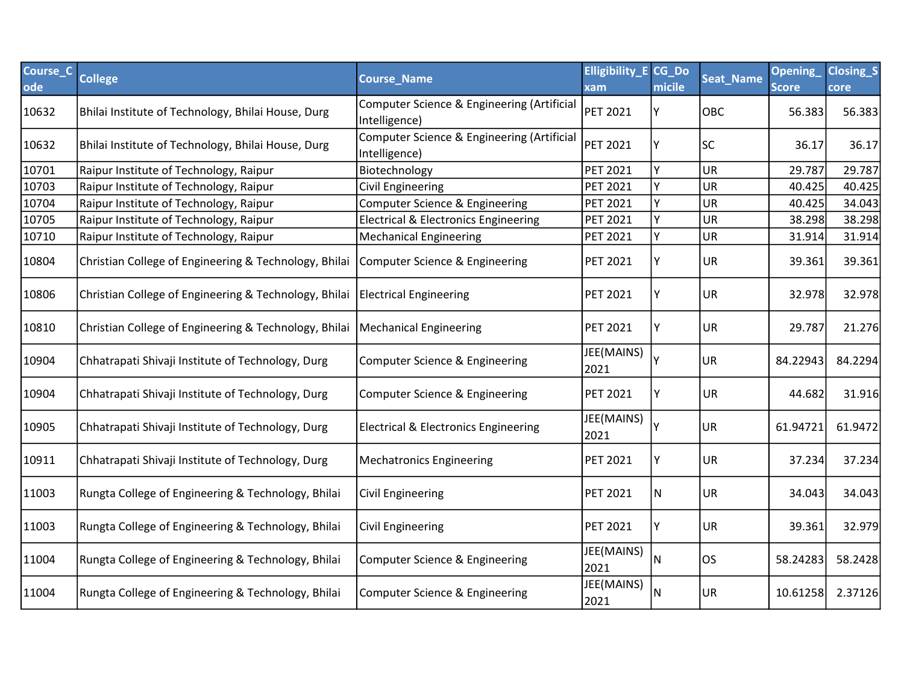| Course_C<br>ode | <b>College</b>                                        | <b>Course Name</b>                                          | <b>Elligibility E CG Do</b><br>xam | micile | Seat_Name  | <b>Opening</b><br><b>Score</b> | <b>Closing_S</b><br>core |
|-----------------|-------------------------------------------------------|-------------------------------------------------------------|------------------------------------|--------|------------|--------------------------------|--------------------------|
| 10632           | Bhilai Institute of Technology, Bhilai House, Durg    | Computer Science & Engineering (Artificial<br>Intelligence) | PET 2021                           | Υ      | <b>OBC</b> | 56.383                         | 56.383                   |
| 10632           | Bhilai Institute of Technology, Bhilai House, Durg    | Computer Science & Engineering (Artificial<br>Intelligence) | <b>PET 2021</b>                    |        | <b>SC</b>  | 36.17                          | 36.17                    |
| 10701           | Raipur Institute of Technology, Raipur                | Biotechnology                                               | <b>PET 2021</b>                    | Y      | UR         | 29.787                         | 29.787                   |
| 10703           | Raipur Institute of Technology, Raipur                | <b>Civil Engineering</b>                                    | PET 2021                           |        | UR         | 40.425                         | 40.425                   |
| 10704           | Raipur Institute of Technology, Raipur                | Computer Science & Engineering                              | <b>PET 2021</b>                    |        | UR         | 40.425                         | 34.043                   |
| 10705           | Raipur Institute of Technology, Raipur                | <b>Electrical &amp; Electronics Engineering</b>             | PET 2021                           |        | UR         | 38.298                         | 38.298                   |
| 10710           | Raipur Institute of Technology, Raipur                | <b>Mechanical Engineering</b>                               | <b>PET 2021</b>                    | Y      | UR         | 31.914                         | 31.914                   |
| 10804           | Christian College of Engineering & Technology, Bhilai | Computer Science & Engineering                              | PET 2021                           |        | <b>UR</b>  | 39.361                         | 39.361                   |
| 10806           | Christian College of Engineering & Technology, Bhilai | <b>Electrical Engineering</b>                               | <b>PET 2021</b>                    | Υ      | <b>UR</b>  | 32.978                         | 32.978                   |
| 10810           | Christian College of Engineering & Technology, Bhilai | <b>Mechanical Engineering</b>                               | <b>PET 2021</b>                    | Υ      | UR         | 29.787                         | 21.276                   |
| 10904           | Chhatrapati Shivaji Institute of Technology, Durg     | Computer Science & Engineering                              | JEE(MAINS)<br>2021                 |        | UR         | 84.22943                       | 84.2294                  |
| 10904           | Chhatrapati Shivaji Institute of Technology, Durg     | Computer Science & Engineering                              | <b>PET 2021</b>                    |        | <b>UR</b>  | 44.682                         | 31.916                   |
| 10905           | Chhatrapati Shivaji Institute of Technology, Durg     | <b>Electrical &amp; Electronics Engineering</b>             | JEE(MAINS)<br>2021                 |        | UR         | 61.94721                       | 61.9472                  |
| 10911           | Chhatrapati Shivaji Institute of Technology, Durg     | <b>Mechatronics Engineering</b>                             | <b>PET 2021</b>                    | Y      | UR         | 37.234                         | 37.234                   |
| 11003           | Rungta College of Engineering & Technology, Bhilai    | Civil Engineering                                           | <b>PET 2021</b>                    | N.     | UR         | 34.043                         | 34.043                   |
| 11003           | Rungta College of Engineering & Technology, Bhilai    | Civil Engineering                                           | <b>PET 2021</b>                    | Υ      | UR         | 39.361                         | 32.979                   |
| 11004           | Rungta College of Engineering & Technology, Bhilai    | Computer Science & Engineering                              | JEE(MAINS)<br>2021                 | N      | los        | 58.24283                       | 58.2428                  |
| 11004           | Rungta College of Engineering & Technology, Bhilai    | Computer Science & Engineering                              | JEE(MAINS)<br>2021                 | N      | UR.        | 10.61258                       | 2.37126                  |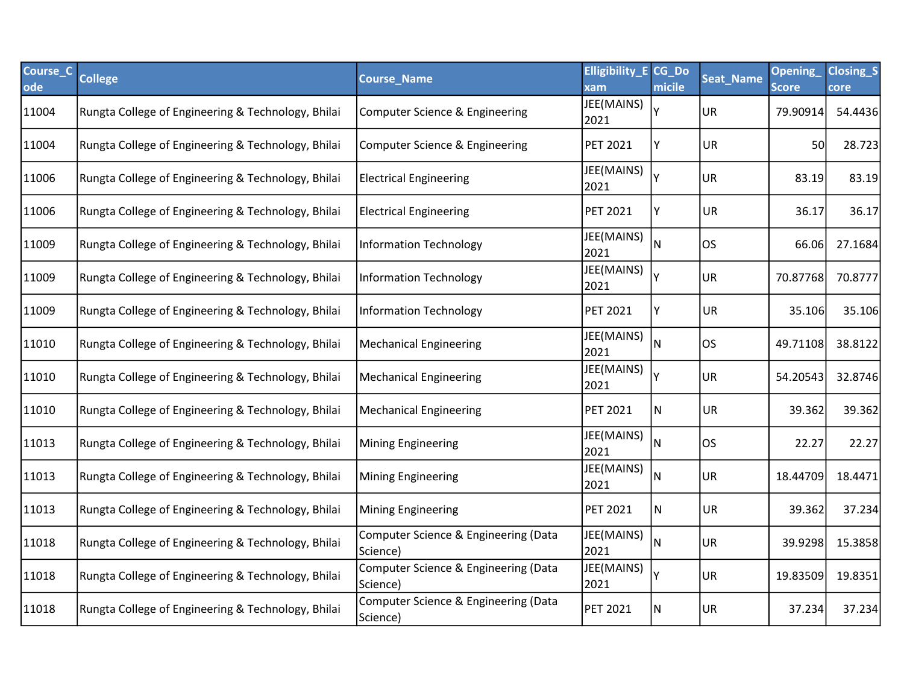| Course_C<br>ode | <b>College</b>                                     | <b>Course_Name</b>                               | <b>Elligibility_E CG_Do</b><br>xam | micile | <b>Seat_Name</b> | <b>Opening</b><br><b>Score</b> | <b>Closing_S</b><br><b>core</b> |
|-----------------|----------------------------------------------------|--------------------------------------------------|------------------------------------|--------|------------------|--------------------------------|---------------------------------|
| 11004           | Rungta College of Engineering & Technology, Bhilai | Computer Science & Engineering                   | JEE(MAINS)<br>2021                 | γ      | <b>UR</b>        | 79.90914                       | 54.4436                         |
| 11004           | Rungta College of Engineering & Technology, Bhilai | Computer Science & Engineering                   | <b>PET 2021</b>                    | Y      | UR               | 50                             | 28.723                          |
| 11006           | Rungta College of Engineering & Technology, Bhilai | <b>Electrical Engineering</b>                    | JEE(MAINS)<br>2021                 |        | <b>UR</b>        | 83.19                          | 83.19                           |
| 11006           | Rungta College of Engineering & Technology, Bhilai | <b>Electrical Engineering</b>                    | <b>PET 2021</b>                    | Υ      | UR               | 36.17                          | 36.17                           |
| 11009           | Rungta College of Engineering & Technology, Bhilai | Information Technology                           | JEE(MAINS)<br>2021                 | N      | los              | 66.06                          | 27.1684                         |
| 11009           | Rungta College of Engineering & Technology, Bhilai | Information Technology                           | JEE(MAINS)<br>2021                 |        | <b>UR</b>        | 70.87768                       | 70.8777                         |
| 11009           | Rungta College of Engineering & Technology, Bhilai | Information Technology                           | <b>PET 2021</b>                    | Υ      | UR               | 35.106                         | 35.106                          |
| 11010           | Rungta College of Engineering & Technology, Bhilai | Mechanical Engineering                           | JEE(MAINS)<br>2021                 | N      | los              | 49.71108                       | 38.8122                         |
| 11010           | Rungta College of Engineering & Technology, Bhilai | Mechanical Engineering                           | JEE(MAINS)<br>2021                 |        | <b>UR</b>        | 54.20543                       | 32.8746                         |
| 11010           | Rungta College of Engineering & Technology, Bhilai | Mechanical Engineering                           | PET 2021                           | N      | <b>UR</b>        | 39.362                         | 39.362                          |
| 11013           | Rungta College of Engineering & Technology, Bhilai | Mining Engineering                               | JEE(MAINS)<br>2021                 | N      | los              | 22.27                          | 22.27                           |
| 11013           | Rungta College of Engineering & Technology, Bhilai | <b>Mining Engineering</b>                        | JEE(MAINS)<br>2021                 | N      | UR               | 18.44709                       | 18.4471                         |
| 11013           | Rungta College of Engineering & Technology, Bhilai | Mining Engineering                               | <b>PET 2021</b>                    | N      | UR               | 39.362                         | 37.234                          |
| 11018           | Rungta College of Engineering & Technology, Bhilai | Computer Science & Engineering (Data<br>Science) | JEE(MAINS)<br>2021                 | N      | <b>UR</b>        | 39.9298                        | 15.3858                         |
| 11018           | Rungta College of Engineering & Technology, Bhilai | Computer Science & Engineering (Data<br>Science) | JEE(MAINS)<br>2021                 |        | UR               | 19.83509                       | 19.8351                         |
| 11018           | Rungta College of Engineering & Technology, Bhilai | Computer Science & Engineering (Data<br>Science) | <b>PET 2021</b>                    | N      | UR               | 37.234                         | 37.234                          |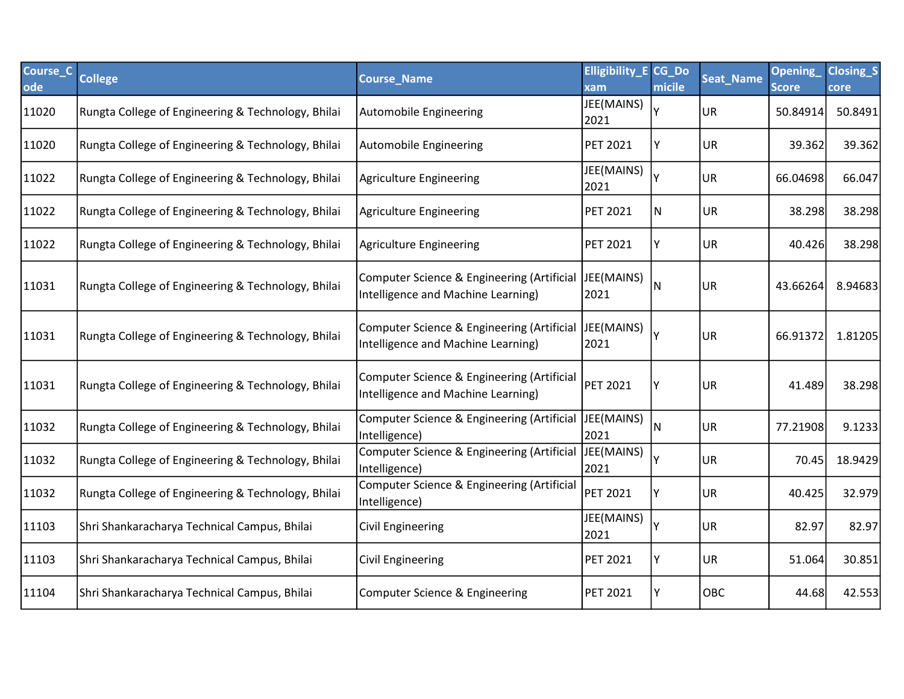| Course_C<br>ode | <b>College</b>                                     | <b>Course Name</b>                                                               | <b>Elligibility_E CG_Do</b><br>xam | micile | <b>Seat_Name</b> | Opening<br><b>Score</b> | <b>Closing_S</b><br>core |
|-----------------|----------------------------------------------------|----------------------------------------------------------------------------------|------------------------------------|--------|------------------|-------------------------|--------------------------|
| 11020           | Rungta College of Engineering & Technology, Bhilai | Automobile Engineering                                                           | JEE(MAINS)<br>2021                 |        | UR               | 50.84914                | 50.8491                  |
| 11020           | Rungta College of Engineering & Technology, Bhilai | Automobile Engineering                                                           | <b>PET 2021</b>                    |        | UR               | 39.362                  | 39.362                   |
| 11022           | Rungta College of Engineering & Technology, Bhilai | Agriculture Engineering                                                          | JEE(MAINS)<br>2021                 |        | UR               | 66.04698                | 66.047                   |
| 11022           | Rungta College of Engineering & Technology, Bhilai | Agriculture Engineering                                                          | <b>PET 2021</b>                    | N      | UR               | 38.298                  | 38.298                   |
| 11022           | Rungta College of Engineering & Technology, Bhilai | Agriculture Engineering                                                          | <b>PET 2021</b>                    | γ      | <b>UR</b>        | 40.426                  | 38.298                   |
| 11031           | Rungta College of Engineering & Technology, Bhilai | Computer Science & Engineering (Artificial<br>Intelligence and Machine Learning) | JEE(MAINS)<br>2021                 | N      | <b>UR</b>        | 43.66264                | 8.94683                  |
| 11031           | Rungta College of Engineering & Technology, Bhilai | Computer Science & Engineering (Artificial<br>Intelligence and Machine Learning) | JEE(MAINS)<br>2021                 |        | <b>UR</b>        | 66.91372                | 1.81205                  |
| 11031           | Rungta College of Engineering & Technology, Bhilai | Computer Science & Engineering (Artificial<br>Intelligence and Machine Learning) | <b>PET 2021</b>                    |        | UR               | 41.489                  | 38.298                   |
| 11032           | Rungta College of Engineering & Technology, Bhilai | Computer Science & Engineering (Artificial<br>Intelligence)                      | JEE(MAINS)<br>2021                 | N      | <b>UR</b>        | 77.21908                | 9.1233                   |
| 11032           | Rungta College of Engineering & Technology, Bhilai | Computer Science & Engineering (Artificial<br>Intelligence)                      | JEE(MAINS)<br>2021                 |        | UR               | 70.45                   | 18.9429                  |
| 11032           | Rungta College of Engineering & Technology, Bhilai | Computer Science & Engineering (Artificial<br>Intelligence)                      | <b>PET 2021</b>                    |        | <b>UR</b>        | 40.425                  | 32.979                   |
| 11103           | Shri Shankaracharya Technical Campus, Bhilai       | Civil Engineering                                                                | JEE(MAINS)<br>2021                 |        | <b>UR</b>        | 82.97                   | 82.97                    |
| 11103           | Shri Shankaracharya Technical Campus, Bhilai       | Civil Engineering                                                                | <b>PET 2021</b>                    | Υ      | UR               | 51.064                  | 30.851                   |
| 11104           | Shri Shankaracharya Technical Campus, Bhilai       | Computer Science & Engineering                                                   | <b>PET 2021</b>                    | Υ      | OBC              | 44.68                   | 42.553                   |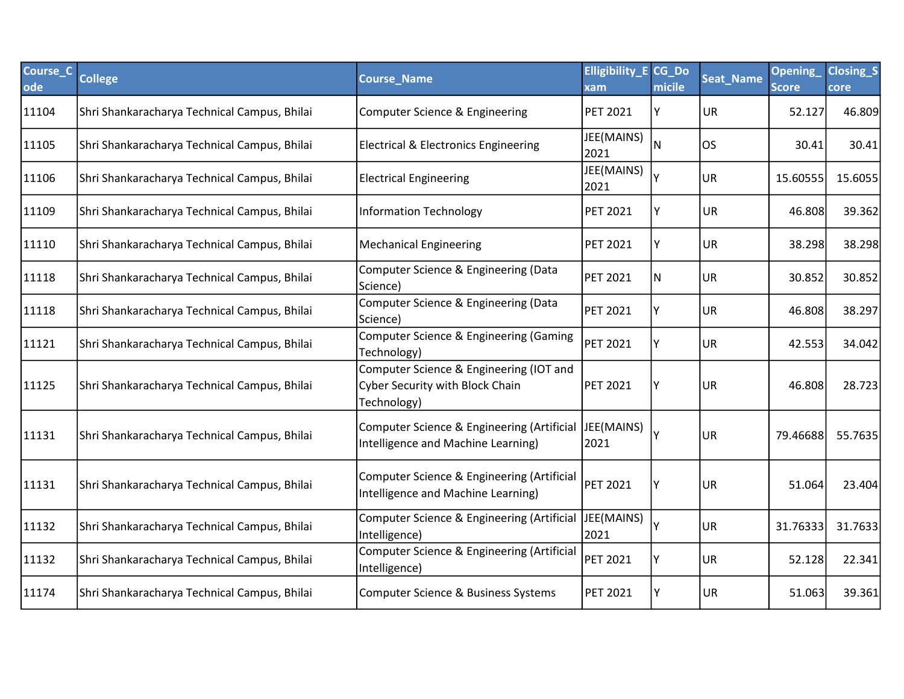| Course_C<br>ode | <b>College</b>                               | <b>Course Name</b>                                                                        | <b>Elligibility E CG Do</b><br>xam | micile | <b>Seat_Name</b> | Opening<br><b>Score</b> | <b>Closing_S</b><br>core |
|-----------------|----------------------------------------------|-------------------------------------------------------------------------------------------|------------------------------------|--------|------------------|-------------------------|--------------------------|
| 11104           | Shri Shankaracharya Technical Campus, Bhilai | Computer Science & Engineering                                                            | <b>PET 2021</b>                    | Y      | <b>UR</b>        | 52.127                  | 46.809                   |
| 11105           | Shri Shankaracharya Technical Campus, Bhilai | <b>Electrical &amp; Electronics Engineering</b>                                           | JEE(MAINS)<br>2021                 | N      | <b>OS</b>        | 30.41                   | 30.41                    |
| 11106           | Shri Shankaracharya Technical Campus, Bhilai | <b>Electrical Engineering</b>                                                             | JEE(MAINS)<br>2021                 |        | <b>UR</b>        | 15.60555                | 15.6055                  |
| 11109           | Shri Shankaracharya Technical Campus, Bhilai | <b>Information Technology</b>                                                             | <b>PET 2021</b>                    | Y      | <b>UR</b>        | 46.808                  | 39.362                   |
| 11110           | Shri Shankaracharya Technical Campus, Bhilai | <b>Mechanical Engineering</b>                                                             | <b>PET 2021</b>                    | Υ      | <b>UR</b>        | 38.298                  | 38.298                   |
| 11118           | Shri Shankaracharya Technical Campus, Bhilai | Computer Science & Engineering (Data<br>Science)                                          | <b>PET 2021</b>                    | N      | <b>UR</b>        | 30.852                  | 30.852                   |
| 11118           | Shri Shankaracharya Technical Campus, Bhilai | Computer Science & Engineering (Data<br>Science)                                          | <b>PET 2021</b>                    | Υ      | <b>UR</b>        | 46.808                  | 38.297                   |
| 11121           | Shri Shankaracharya Technical Campus, Bhilai | Computer Science & Engineering (Gaming<br>Technology)                                     | PET 2021                           |        | <b>UR</b>        | 42.553                  | 34.042                   |
| 11125           | Shri Shankaracharya Technical Campus, Bhilai | Computer Science & Engineering (IOT and<br>Cyber Security with Block Chain<br>Technology) | <b>PET 2021</b>                    |        | <b>UR</b>        | 46.808                  | 28.723                   |
| 11131           | Shri Shankaracharya Technical Campus, Bhilai | Computer Science & Engineering (Artificial<br>Intelligence and Machine Learning)          | JEE(MAINS)<br>2021                 |        | UR.              | 79.46688                | 55.7635                  |
| 11131           | Shri Shankaracharya Technical Campus, Bhilai | Computer Science & Engineering (Artificial<br>Intelligence and Machine Learning)          | <b>PET 2021</b>                    | Υ      | <b>UR</b>        | 51.064                  | 23.404                   |
| 11132           | Shri Shankaracharya Technical Campus, Bhilai | Computer Science & Engineering (Artificial<br>Intelligence)                               | JEE(MAINS)<br>2021                 |        | <b>UR</b>        | 31.76333                | 31.7633                  |
| 11132           | Shri Shankaracharya Technical Campus, Bhilai | Computer Science & Engineering (Artificial<br>Intelligence)                               | <b>PET 2021</b>                    |        | <b>UR</b>        | 52.128                  | 22.341                   |
| 11174           | Shri Shankaracharya Technical Campus, Bhilai | Computer Science & Business Systems                                                       | <b>PET 2021</b>                    | Υ      | <b>UR</b>        | 51.063                  | 39.361                   |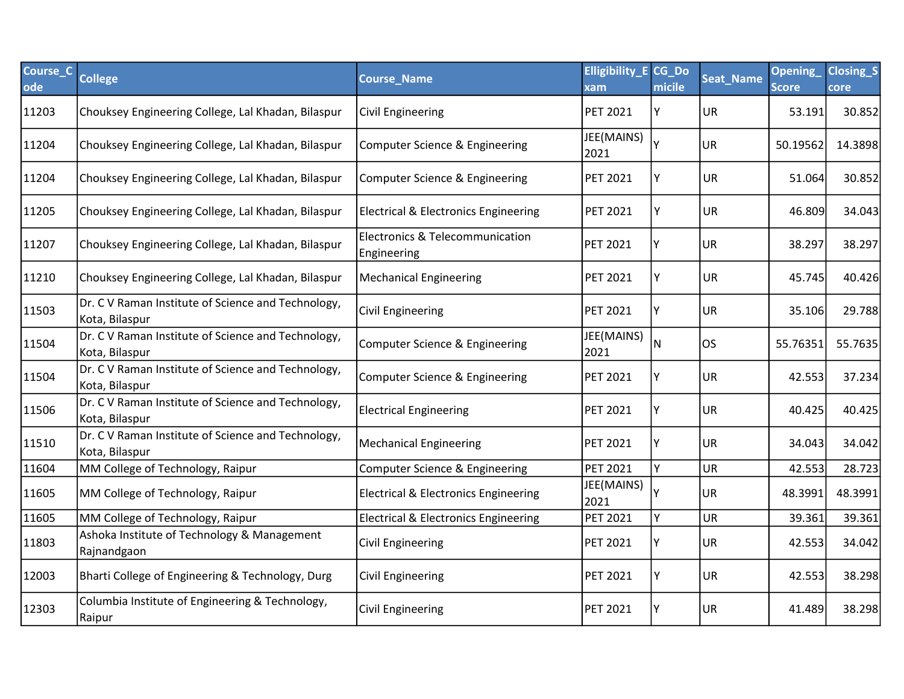| Course_C<br>ode | <b>College</b>                                                       | <b>Course_Name</b>                              | <b>Elligibility_E CG_Do</b><br>xam | micile | Seat_Name | <b>Opening</b><br><b>Score</b> | <b>Closing_S</b><br>core |
|-----------------|----------------------------------------------------------------------|-------------------------------------------------|------------------------------------|--------|-----------|--------------------------------|--------------------------|
| 11203           | Chouksey Engineering College, Lal Khadan, Bilaspur                   | <b>Civil Engineering</b>                        | <b>PET 2021</b>                    | Y      | <b>UR</b> | 53.191                         | 30.852                   |
| 11204           | Chouksey Engineering College, Lal Khadan, Bilaspur                   | <b>Computer Science &amp; Engineering</b>       | JEE(MAINS)<br>2021                 |        | UR        | 50.19562                       | 14.3898                  |
| 11204           | Chouksey Engineering College, Lal Khadan, Bilaspur                   | Computer Science & Engineering                  | <b>PET 2021</b>                    |        | <b>UR</b> | 51.064                         | 30.852                   |
| 11205           | Chouksey Engineering College, Lal Khadan, Bilaspur                   | <b>Electrical &amp; Electronics Engineering</b> | <b>PET 2021</b>                    | Y      | <b>UR</b> | 46.809                         | 34.043                   |
| 11207           | Chouksey Engineering College, Lal Khadan, Bilaspur                   | Electronics & Telecommunication<br>Engineering  | <b>PET 2021</b>                    | Y      | <b>UR</b> | 38.297                         | 38.297                   |
| 11210           | Chouksey Engineering College, Lal Khadan, Bilaspur                   | <b>Mechanical Engineering</b>                   | <b>PET 2021</b>                    | Y      | <b>UR</b> | 45.745                         | 40.426                   |
| 11503           | Dr. C V Raman Institute of Science and Technology,<br>Kota, Bilaspur | Civil Engineering                               | <b>PET 2021</b>                    | γ      | <b>UR</b> | 35.106                         | 29.788                   |
| 11504           | Dr. C V Raman Institute of Science and Technology,<br>Kota, Bilaspur | Computer Science & Engineering                  | JEE(MAINS)<br>2021                 | N      | los       | 55.76351                       | 55.7635                  |
| 11504           | Dr. C V Raman Institute of Science and Technology,<br>Kota, Bilaspur | Computer Science & Engineering                  | <b>PET 2021</b>                    | Υ      | UR        | 42.553                         | 37.234                   |
| 11506           | Dr. C V Raman Institute of Science and Technology,<br>Kota, Bilaspur | <b>Electrical Engineering</b>                   | <b>PET 2021</b>                    | γ      | UR        | 40.425                         | 40.425                   |
| 11510           | Dr. C V Raman Institute of Science and Technology,<br>Kota, Bilaspur | Mechanical Engineering                          | <b>PET 2021</b>                    | Y      | UR        | 34.043                         | 34.042                   |
| 11604           | MM College of Technology, Raipur                                     | <b>Computer Science &amp; Engineering</b>       | PET 2021                           | Y      | <b>UR</b> | 42.553                         | 28.723                   |
| 11605           | MM College of Technology, Raipur                                     | <b>Electrical &amp; Electronics Engineering</b> | JEE(MAINS)<br>2021                 |        | UR        | 48.3991                        | 48.3991                  |
| 11605           | MM College of Technology, Raipur                                     | <b>Electrical &amp; Electronics Engineering</b> | PET 2021                           | Y      | <b>UR</b> | 39.361                         | 39.361                   |
| 11803           | Ashoka Institute of Technology & Management<br>Rajnandgaon           | Civil Engineering                               | <b>PET 2021</b>                    | Υ      | <b>UR</b> | 42.553                         | 34.042                   |
| 12003           | Bharti College of Engineering & Technology, Durg                     | <b>Civil Engineering</b>                        | <b>PET 2021</b>                    | Y      | UR        | 42.553                         | 38.298                   |
| 12303           | Columbia Institute of Engineering & Technology,<br>Raipur            | Civil Engineering                               | <b>PET 2021</b>                    | Y      | UR        | 41.489                         | 38.298                   |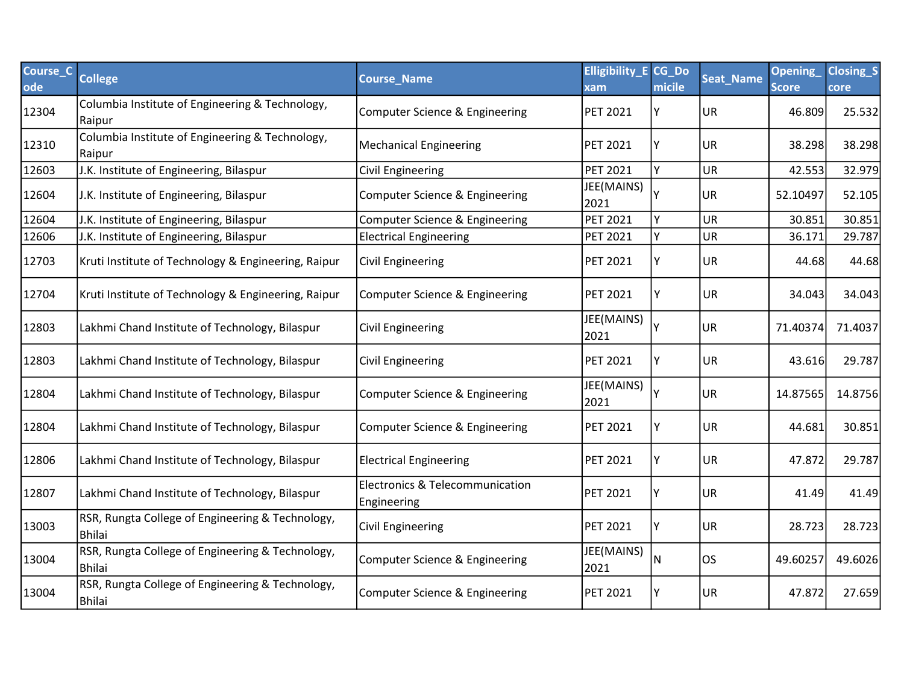| Course_C<br>ode | <b>College</b>                                                    | <b>Course Name</b>                             | <b>Elligibility_E CG_Do</b><br>xam | micile | <b>Seat_Name</b> | Opening<br><b>Score</b> | <b>Closing_S</b><br>core |
|-----------------|-------------------------------------------------------------------|------------------------------------------------|------------------------------------|--------|------------------|-------------------------|--------------------------|
| 12304           | Columbia Institute of Engineering & Technology,<br>Raipur         | Computer Science & Engineering                 | <b>PET 2021</b>                    | Υ      | <b>UR</b>        | 46.809                  | 25.532                   |
| 12310           | Columbia Institute of Engineering & Technology,<br>Raipur         | <b>Mechanical Engineering</b>                  | <b>PET 2021</b>                    |        | <b>UR</b>        | 38.298                  | 38.298                   |
| 12603           | J.K. Institute of Engineering, Bilaspur                           | Civil Engineering                              | <b>PET 2021</b>                    | Y      | UR               | 42.553                  | 32.979                   |
| 12604           | J.K. Institute of Engineering, Bilaspur                           | Computer Science & Engineering                 | JEE(MAINS)<br>2021                 |        | UR               | 52.10497                | 52.105                   |
| 12604           | J.K. Institute of Engineering, Bilaspur                           | Computer Science & Engineering                 | <b>PET 2021</b>                    |        | UR               | 30.851                  | 30.851                   |
| 12606           | J.K. Institute of Engineering, Bilaspur                           | <b>Electrical Engineering</b>                  | PET 2021                           |        | UR               | 36.171                  | 29.787                   |
| 12703           | Kruti Institute of Technology & Engineering, Raipur               | <b>Civil Engineering</b>                       | <b>PET 2021</b>                    |        | UR               | 44.68                   | 44.68                    |
| 12704           | Kruti Institute of Technology & Engineering, Raipur               | Computer Science & Engineering                 | <b>PET 2021</b>                    | Υ      | <b>UR</b>        | 34.043                  | 34.043                   |
| 12803           | Lakhmi Chand Institute of Technology, Bilaspur                    | <b>Civil Engineering</b>                       | JEE(MAINS)<br>2021                 |        | UR               | 71.40374                | 71.4037                  |
| 12803           | Lakhmi Chand Institute of Technology, Bilaspur                    | <b>Civil Engineering</b>                       | <b>PET 2021</b>                    |        | <b>UR</b>        | 43.616                  | 29.787                   |
| 12804           | Lakhmi Chand Institute of Technology, Bilaspur                    | Computer Science & Engineering                 | JEE(MAINS)<br>2021                 |        | <b>UR</b>        | 14.87565                | 14.8756                  |
| 12804           | Lakhmi Chand Institute of Technology, Bilaspur                    | Computer Science & Engineering                 | <b>PET 2021</b>                    |        | <b>UR</b>        | 44.681                  | 30.851                   |
| 12806           | Lakhmi Chand Institute of Technology, Bilaspur                    | <b>Electrical Engineering</b>                  | <b>PET 2021</b>                    |        | UR               | 47.872                  | 29.787                   |
| 12807           | Lakhmi Chand Institute of Technology, Bilaspur                    | Electronics & Telecommunication<br>Engineering | <b>PET 2021</b>                    |        | <b>UR</b>        | 41.49                   | 41.49                    |
| 13003           | RSR, Rungta College of Engineering & Technology,<br><b>Bhilai</b> | Civil Engineering                              | <b>PET 2021</b>                    |        | UR               | 28.723                  | 28.723                   |
| 13004           | RSR, Rungta College of Engineering & Technology,<br><b>Bhilai</b> | Computer Science & Engineering                 | JEE(MAINS)<br>2021                 | N      | los              | 49.60257                | 49.6026                  |
| 13004           | RSR, Rungta College of Engineering & Technology,<br><b>Bhilai</b> | Computer Science & Engineering                 | <b>PET 2021</b>                    |        | <b>UR</b>        | 47.872                  | 27.659                   |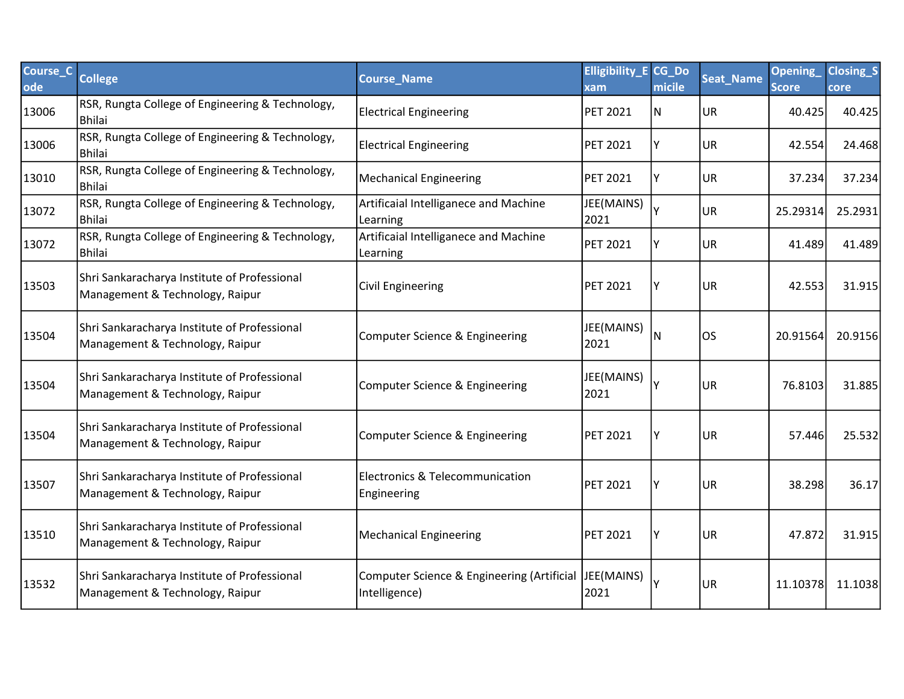| Course_C<br>ode | <b>College</b>                                                                  | <b>Course Name</b>                                          | <b>Elligibility_E CG_Do</b><br>xam | micile | Seat_Name | Opening<br><b>Score</b> | <b>Closing_S</b><br>core |
|-----------------|---------------------------------------------------------------------------------|-------------------------------------------------------------|------------------------------------|--------|-----------|-------------------------|--------------------------|
| 13006           | RSR, Rungta College of Engineering & Technology,<br><b>Bhilai</b>               | <b>Electrical Engineering</b>                               | <b>PET 2021</b>                    | N      | <b>UR</b> | 40.425                  | 40.425                   |
| 13006           | RSR, Rungta College of Engineering & Technology,<br><b>Bhilai</b>               | <b>Electrical Engineering</b>                               | <b>PET 2021</b>                    |        | <b>UR</b> | 42.554                  | 24.468                   |
| 13010           | RSR, Rungta College of Engineering & Technology,<br><b>Bhilai</b>               | <b>Mechanical Engineering</b>                               | <b>PET 2021</b>                    |        | <b>UR</b> | 37.234                  | 37.234                   |
| 13072           | RSR, Rungta College of Engineering & Technology,<br><b>Bhilai</b>               | Artificaial Intelliganece and Machine<br>Learning           | JEE(MAINS)<br>2021                 |        | UR        | 25.29314                | 25.2931                  |
| 13072           | RSR, Rungta College of Engineering & Technology,<br><b>Bhilai</b>               | Artificaial Intelliganece and Machine<br>Learning           | <b>PET 2021</b>                    |        | <b>UR</b> | 41.489                  | 41.489                   |
| 13503           | Shri Sankaracharya Institute of Professional<br>Management & Technology, Raipur | <b>Civil Engineering</b>                                    | <b>PET 2021</b>                    |        | UR        | 42.553                  | 31.915                   |
| 13504           | Shri Sankaracharya Institute of Professional<br>Management & Technology, Raipur | Computer Science & Engineering                              | JEE(MAINS)<br>2021                 | N      | los       | 20.91564                | 20.9156                  |
| 13504           | Shri Sankaracharya Institute of Professional<br>Management & Technology, Raipur | Computer Science & Engineering                              | JEE(MAINS)<br>2021                 |        | UR        | 76.8103                 | 31.885                   |
| 13504           | Shri Sankaracharya Institute of Professional<br>Management & Technology, Raipur | Computer Science & Engineering                              | <b>PET 2021</b>                    |        | UR        | 57.446                  | 25.532                   |
| 13507           | Shri Sankaracharya Institute of Professional<br>Management & Technology, Raipur | <b>Electronics &amp; Telecommunication</b><br>Engineering   | <b>PET 2021</b>                    |        | <b>UR</b> | 38.298                  | 36.17                    |
| 13510           | Shri Sankaracharya Institute of Professional<br>Management & Technology, Raipur | <b>Mechanical Engineering</b>                               | <b>PET 2021</b>                    | Υ      | UR        | 47.872                  | 31.915                   |
| 13532           | Shri Sankaracharya Institute of Professional<br>Management & Technology, Raipur | Computer Science & Engineering (Artificial<br>Intelligence) | JEE(MAINS)<br>2021                 |        | <b>UR</b> | 11.10378                | 11.1038                  |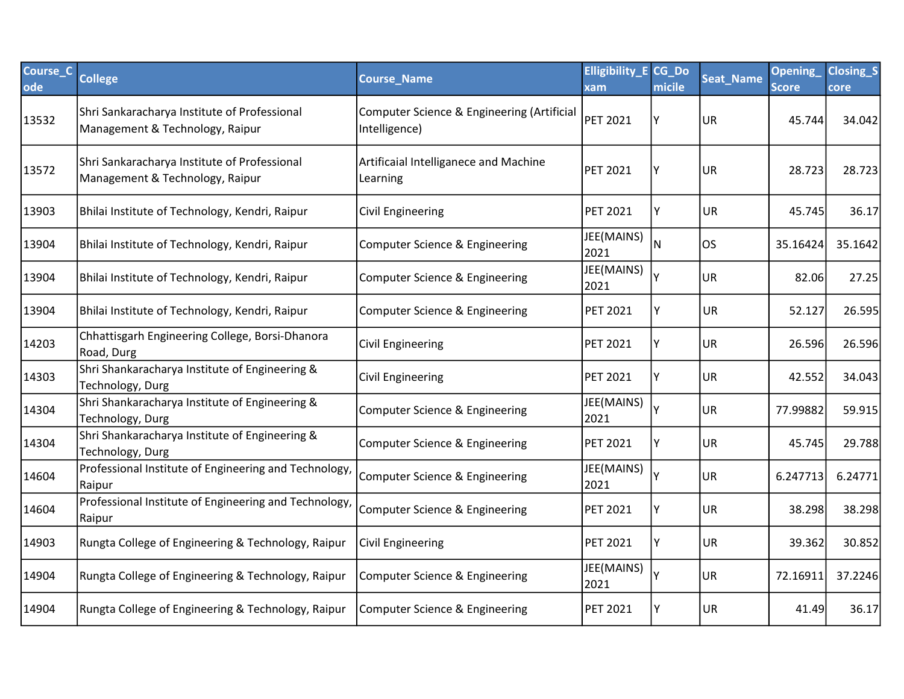| Course_C<br>ode | <b>College</b>                                                                  | <b>Course_Name</b>                                          | <b>Elligibility_E CG_Do</b><br>xam | micile | Seat_Name | <b>Opening</b><br><b>Score</b> | <b>Closing_S</b><br>core |
|-----------------|---------------------------------------------------------------------------------|-------------------------------------------------------------|------------------------------------|--------|-----------|--------------------------------|--------------------------|
| 13532           | Shri Sankaracharya Institute of Professional<br>Management & Technology, Raipur | Computer Science & Engineering (Artificial<br>Intelligence) | PET 2021                           |        | <b>UR</b> | 45.744                         | 34.042                   |
| 13572           | Shri Sankaracharya Institute of Professional<br>Management & Technology, Raipur | Artificaial Intelliganece and Machine<br>Learning           | <b>PET 2021</b>                    |        | <b>UR</b> | 28.723                         | 28.723                   |
| 13903           | Bhilai Institute of Technology, Kendri, Raipur                                  | Civil Engineering                                           | <b>PET 2021</b>                    | Υ      | <b>UR</b> | 45.745                         | 36.17                    |
| 13904           | Bhilai Institute of Technology, Kendri, Raipur                                  | Computer Science & Engineering                              | JEE(MAINS)<br>2021                 | N      | los       | 35.16424                       | 35.1642                  |
| 13904           | Bhilai Institute of Technology, Kendri, Raipur                                  | Computer Science & Engineering                              | JEE(MAINS)<br>2021                 |        | <b>UR</b> | 82.06                          | 27.25                    |
| 13904           | Bhilai Institute of Technology, Kendri, Raipur                                  | Computer Science & Engineering                              | <b>PET 2021</b>                    |        | UR        | 52.127                         | 26.595                   |
| 14203           | Chhattisgarh Engineering College, Borsi-Dhanora<br>Road, Durg                   | Civil Engineering                                           | <b>PET 2021</b>                    |        | UR        | 26.596                         | 26.596                   |
| 14303           | Shri Shankaracharya Institute of Engineering &<br>Technology, Durg              | Civil Engineering                                           | <b>PET 2021</b>                    | Y      | UR        | 42.552                         | 34.043                   |
| 14304           | Shri Shankaracharya Institute of Engineering &<br>Technology, Durg              | Computer Science & Engineering                              | JEE(MAINS)<br>2021                 |        | UR.       | 77.99882                       | 59.915                   |
| 14304           | Shri Shankaracharya Institute of Engineering &<br>Technology, Durg              | Computer Science & Engineering                              | <b>PET 2021</b>                    | ٧      | <b>UR</b> | 45.745                         | 29.788                   |
| 14604           | Professional Institute of Engineering and Technology,<br>Raipur                 | Computer Science & Engineering                              | JEE(MAINS)<br>2021                 |        | <b>UR</b> | 6.247713                       | 6.24771                  |
| 14604           | Professional Institute of Engineering and Technology,<br>Raipur                 | Computer Science & Engineering                              | <b>PET 2021</b>                    |        | <b>UR</b> | 38.298                         | 38.298                   |
| 14903           | Rungta College of Engineering & Technology, Raipur                              | Civil Engineering                                           | <b>PET 2021</b>                    | Υ      | <b>UR</b> | 39.362                         | 30.852                   |
| 14904           | Rungta College of Engineering & Technology, Raipur                              | Computer Science & Engineering                              | JEE(MAINS)<br>2021                 |        | <b>UR</b> | 72.16911                       | 37.2246                  |
| 14904           | Rungta College of Engineering & Technology, Raipur                              | Computer Science & Engineering                              | <b>PET 2021</b>                    |        | UR        | 41.49                          | 36.17                    |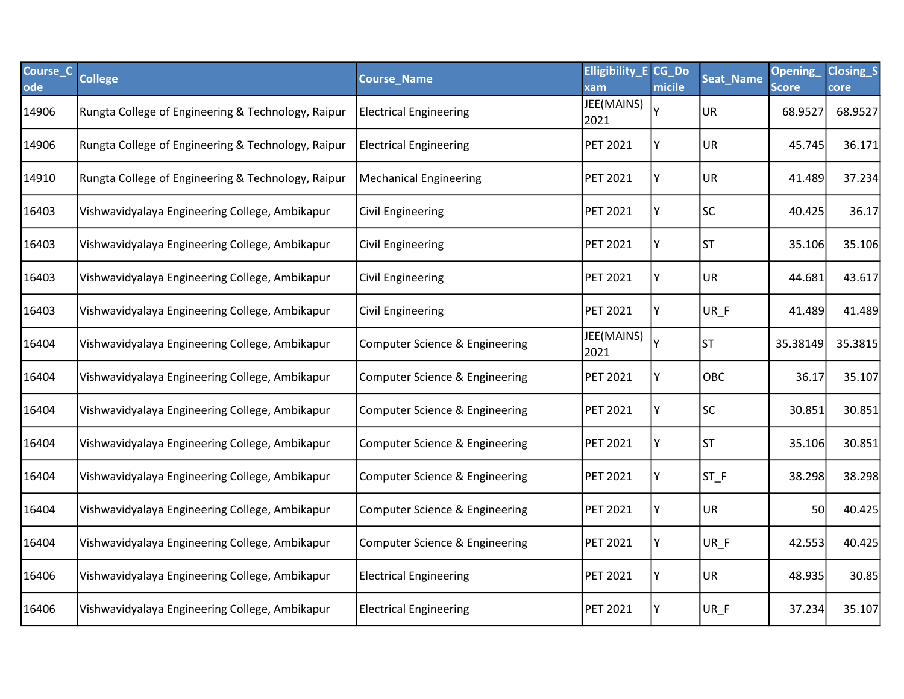| Course_C<br>ode | <b>College</b>                                     | <b>Course_Name</b>                        | <b>Elligibility_E CG_Do</b><br>xam | micile | <b>Seat_Name</b> | Opening<br><b>Score</b> | <b>Closing_S</b><br><b>core</b> |
|-----------------|----------------------------------------------------|-------------------------------------------|------------------------------------|--------|------------------|-------------------------|---------------------------------|
| 14906           | Rungta College of Engineering & Technology, Raipur | <b>Electrical Engineering</b>             | JEE(MAINS)<br>2021                 | Υ      | UR               | 68.9527                 | 68.9527                         |
| 14906           | Rungta College of Engineering & Technology, Raipur | <b>Electrical Engineering</b>             | PET 2021                           | Y      | <b>UR</b>        | 45.745                  | 36.171                          |
| 14910           | Rungta College of Engineering & Technology, Raipur | <b>Mechanical Engineering</b>             | <b>PET 2021</b>                    | Υ      | <b>UR</b>        | 41.489                  | 37.234                          |
| 16403           | Vishwavidyalaya Engineering College, Ambikapur     | <b>Civil Engineering</b>                  | <b>PET 2021</b>                    | Y      | <b>SC</b>        | 40.425                  | 36.17                           |
| 16403           | Vishwavidyalaya Engineering College, Ambikapur     | Civil Engineering                         | <b>PET 2021</b>                    | Υ      | <b>ST</b>        | 35.106                  | 35.106                          |
| 16403           | Vishwavidyalaya Engineering College, Ambikapur     | <b>Civil Engineering</b>                  | <b>PET 2021</b>                    | Υ      | <b>UR</b>        | 44.681                  | 43.617                          |
| 16403           | Vishwavidyalaya Engineering College, Ambikapur     | <b>Civil Engineering</b>                  | <b>PET 2021</b>                    | Υ      | UR_F             | 41.489                  | 41.489                          |
| 16404           | Vishwavidyalaya Engineering College, Ambikapur     | Computer Science & Engineering            | JEE(MAINS)<br>2021                 |        | <b>ST</b>        | 35.38149                | 35.3815                         |
| 16404           | Vishwavidyalaya Engineering College, Ambikapur     | <b>Computer Science &amp; Engineering</b> | PET 2021                           | Y      | OBC              | 36.17                   | 35.107                          |
| 16404           | Vishwavidyalaya Engineering College, Ambikapur     | Computer Science & Engineering            | PET 2021                           | Υ      | <b>SC</b>        | 30.851                  | 30.851                          |
| 16404           | Vishwavidyalaya Engineering College, Ambikapur     | Computer Science & Engineering            | <b>PET 2021</b>                    | Υ      | <b>ST</b>        | 35.106                  | 30.851                          |
| 16404           | Vishwavidyalaya Engineering College, Ambikapur     | Computer Science & Engineering            | <b>PET 2021</b>                    | Υ      | $ST_F$           | 38.298                  | 38.298                          |
| 16404           | Vishwavidyalaya Engineering College, Ambikapur     | Computer Science & Engineering            | <b>PET 2021</b>                    | Υ      | <b>UR</b>        | 50                      | 40.425                          |
| 16404           | Vishwavidyalaya Engineering College, Ambikapur     | Computer Science & Engineering            | <b>PET 2021</b>                    | Y      | UR_F             | 42.553                  | 40.425                          |
| 16406           | Vishwavidyalaya Engineering College, Ambikapur     | <b>Electrical Engineering</b>             | <b>PET 2021</b>                    | Υ      | <b>UR</b>        | 48.935                  | 30.85                           |
| 16406           | Vishwavidyalaya Engineering College, Ambikapur     | <b>Electrical Engineering</b>             | <b>PET 2021</b>                    | Y      | UR_F             | 37.234                  | 35.107                          |